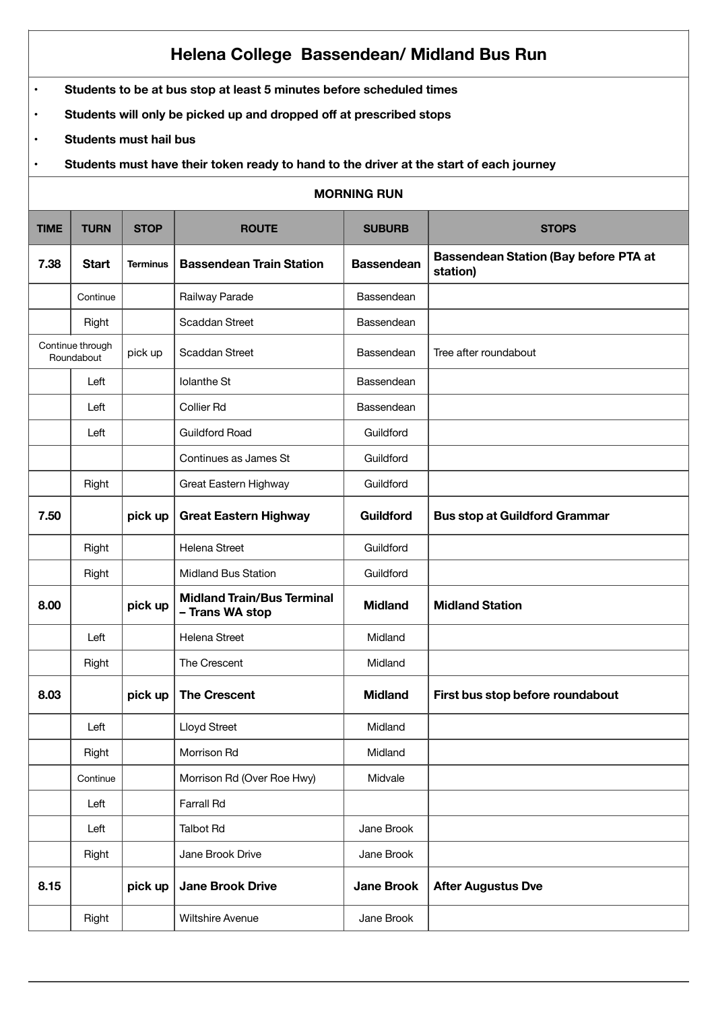## **Helena College Bassendean/ Midland Bus Run**

- **Students to be at bus stop at least 5 minutes before scheduled times**
- **Students will only be picked up and dropped off at prescribed stops**
- **Students must hail bus**
- **Students must have their token ready to hand to the driver at the start of each journey**

| <b>MORNING RUN</b> |                                |                 |                                                      |                   |                                                          |  |
|--------------------|--------------------------------|-----------------|------------------------------------------------------|-------------------|----------------------------------------------------------|--|
| <b>TIME</b>        | <b>TURN</b>                    | <b>STOP</b>     | <b>ROUTE</b>                                         | <b>SUBURB</b>     | <b>STOPS</b>                                             |  |
| 7.38               | <b>Start</b>                   | <b>Terminus</b> | <b>Bassendean Train Station</b>                      | <b>Bassendean</b> | <b>Bassendean Station (Bay before PTA at</b><br>station) |  |
|                    | Continue                       |                 | Railway Parade                                       | Bassendean        |                                                          |  |
|                    | Right                          |                 | <b>Scaddan Street</b>                                | Bassendean        |                                                          |  |
|                    | Continue through<br>Roundabout |                 | Scaddan Street                                       | Bassendean        | Tree after roundabout                                    |  |
|                    | Left                           |                 | <b>Iolanthe St</b>                                   | Bassendean        |                                                          |  |
|                    | Left                           |                 | <b>Collier Rd</b>                                    | Bassendean        |                                                          |  |
|                    | Left                           |                 | <b>Guildford Road</b>                                | Guildford         |                                                          |  |
|                    |                                |                 | Continues as James St                                | Guildford         |                                                          |  |
|                    | Right                          |                 | Great Eastern Highway                                | Guildford         |                                                          |  |
| 7.50               |                                | pick up         | <b>Great Eastern Highway</b>                         | Guildford         | <b>Bus stop at Guildford Grammar</b>                     |  |
|                    | Right                          |                 | Helena Street                                        | Guildford         |                                                          |  |
|                    | Right                          |                 | <b>Midland Bus Station</b>                           | Guildford         |                                                          |  |
| 8.00               |                                | pick up         | <b>Midland Train/Bus Terminal</b><br>- Trans WA stop | <b>Midland</b>    | <b>Midland Station</b>                                   |  |
|                    | Left                           |                 | Helena Street                                        | Midland           |                                                          |  |
|                    | Right                          |                 | The Crescent                                         | Midland           |                                                          |  |
| 8.03               |                                | pick up         | <b>The Crescent</b>                                  | <b>Midland</b>    | First bus stop before roundabout                         |  |
|                    | Left                           |                 | Lloyd Street                                         | Midland           |                                                          |  |
|                    | Right                          |                 | Morrison Rd                                          | Midland           |                                                          |  |
|                    | Continue                       |                 | Morrison Rd (Over Roe Hwy)                           | Midvale           |                                                          |  |
|                    | Left                           |                 | Farrall Rd                                           |                   |                                                          |  |
|                    | Left                           |                 | <b>Talbot Rd</b>                                     | Jane Brook        |                                                          |  |
|                    | Right                          |                 | Jane Brook Drive                                     | Jane Brook        |                                                          |  |
| 8.15               |                                | pick up         | <b>Jane Brook Drive</b>                              | <b>Jane Brook</b> | <b>After Augustus Dve</b>                                |  |
|                    | Right                          |                 | Wiltshire Avenue                                     | Jane Brook        |                                                          |  |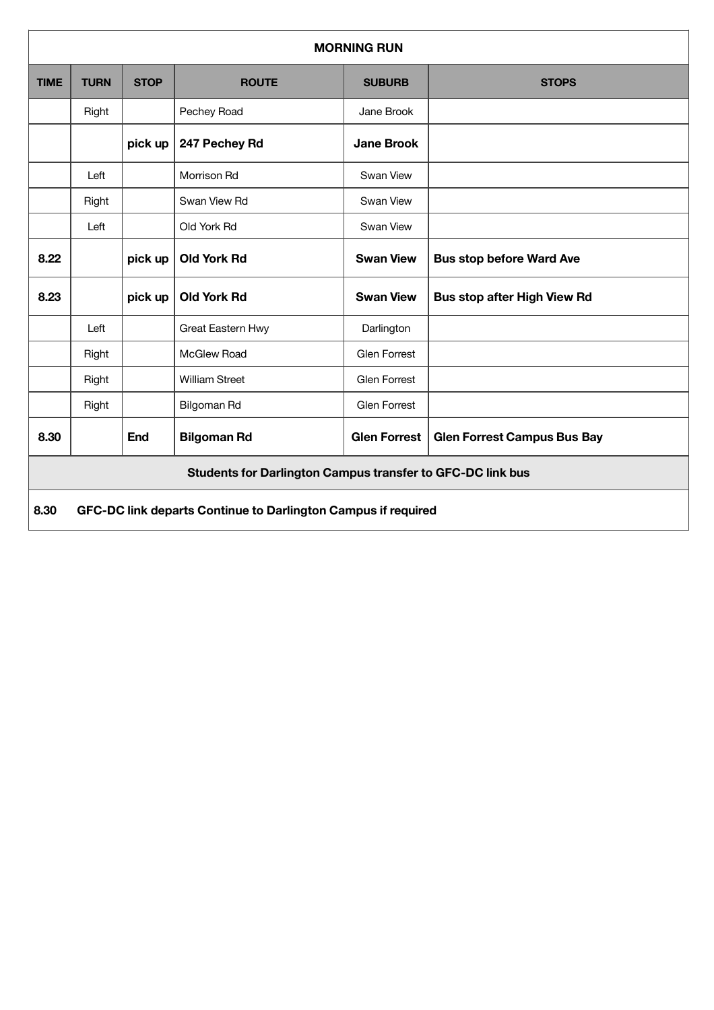| <b>MORNING RUN</b>                                         |                                                               |             |                       |                     |                                    |  |
|------------------------------------------------------------|---------------------------------------------------------------|-------------|-----------------------|---------------------|------------------------------------|--|
| <b>TIME</b>                                                | <b>TURN</b>                                                   | <b>STOP</b> | <b>ROUTE</b>          | <b>SUBURB</b>       | <b>STOPS</b>                       |  |
|                                                            | Right                                                         |             | Pechey Road           | Jane Brook          |                                    |  |
|                                                            |                                                               | pick up     | 247 Pechey Rd         | <b>Jane Brook</b>   |                                    |  |
|                                                            | Left                                                          |             | Morrison Rd           | Swan View           |                                    |  |
|                                                            | Right                                                         |             | Swan View Rd          | Swan View           |                                    |  |
|                                                            | Left                                                          |             | Old York Rd           | Swan View           |                                    |  |
| 8.22                                                       |                                                               | pick up     | <b>Old York Rd</b>    | <b>Swan View</b>    | <b>Bus stop before Ward Ave</b>    |  |
| 8.23                                                       |                                                               | pick up     | <b>Old York Rd</b>    | <b>Swan View</b>    | <b>Bus stop after High View Rd</b> |  |
|                                                            | Left                                                          |             | Great Eastern Hwy     | Darlington          |                                    |  |
|                                                            | Right                                                         |             | McGlew Road           | <b>Glen Forrest</b> |                                    |  |
|                                                            | Right                                                         |             | <b>William Street</b> | <b>Glen Forrest</b> |                                    |  |
|                                                            | Right                                                         |             | Bilgoman Rd           | <b>Glen Forrest</b> |                                    |  |
| 8.30                                                       |                                                               | <b>End</b>  | <b>Bilgoman Rd</b>    | <b>Glen Forrest</b> | <b>Glen Forrest Campus Bus Bay</b> |  |
| Students for Darlington Campus transfer to GFC-DC link bus |                                                               |             |                       |                     |                                    |  |
| 8.30                                                       | GFC-DC link departs Continue to Darlington Campus if required |             |                       |                     |                                    |  |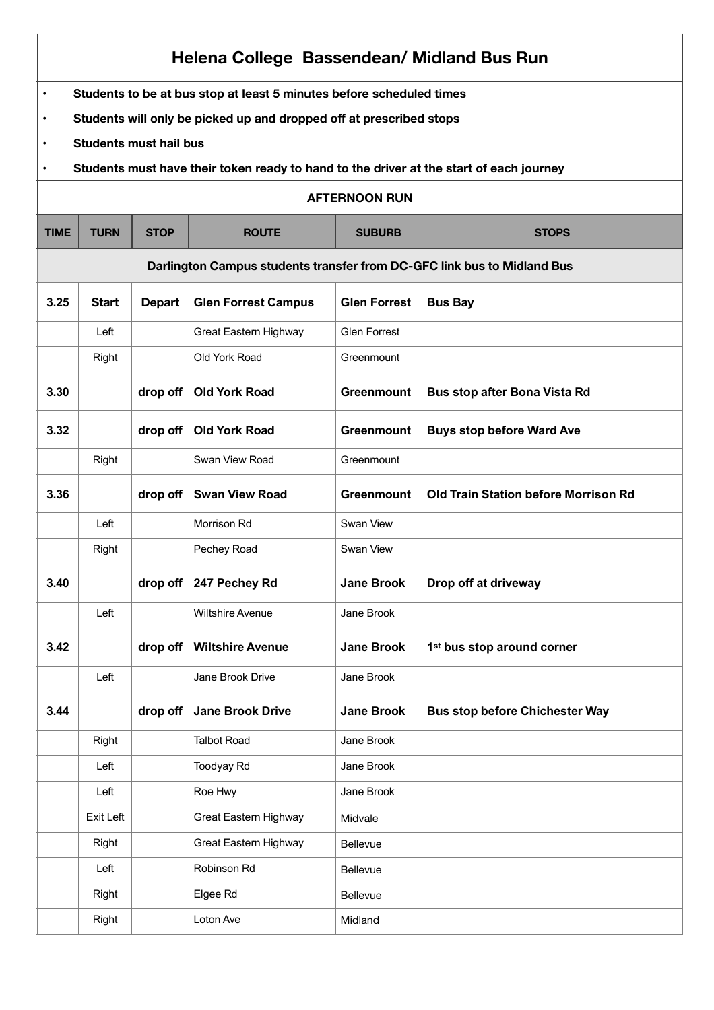| Helena College Bassendean/ Midland Bus Run |                                                                                         |               |                            |                     |                                             |  |  |  |
|--------------------------------------------|-----------------------------------------------------------------------------------------|---------------|----------------------------|---------------------|---------------------------------------------|--|--|--|
| $\bullet$                                  | Students to be at bus stop at least 5 minutes before scheduled times                    |               |                            |                     |                                             |  |  |  |
| $\bullet$                                  | Students will only be picked up and dropped off at prescribed stops                     |               |                            |                     |                                             |  |  |  |
| $\bullet$                                  | <b>Students must hail bus</b>                                                           |               |                            |                     |                                             |  |  |  |
| $\bullet$                                  | Students must have their token ready to hand to the driver at the start of each journey |               |                            |                     |                                             |  |  |  |
|                                            | <b>AFTERNOON RUN</b>                                                                    |               |                            |                     |                                             |  |  |  |
| <b>TIME</b>                                | <b>TURN</b>                                                                             | <b>STOP</b>   | <b>ROUTE</b>               | <b>SUBURB</b>       | <b>STOPS</b>                                |  |  |  |
|                                            | Darlington Campus students transfer from DC-GFC link bus to Midland Bus                 |               |                            |                     |                                             |  |  |  |
| 3.25                                       | <b>Start</b>                                                                            | <b>Depart</b> | <b>Glen Forrest Campus</b> | <b>Glen Forrest</b> | <b>Bus Bay</b>                              |  |  |  |
|                                            | Left                                                                                    |               | Great Eastern Highway      | <b>Glen Forrest</b> |                                             |  |  |  |
|                                            | Right                                                                                   |               | Old York Road              | Greenmount          |                                             |  |  |  |
| 3.30                                       |                                                                                         | drop off      | <b>Old York Road</b>       | <b>Greenmount</b>   | <b>Bus stop after Bona Vista Rd</b>         |  |  |  |
| 3.32                                       |                                                                                         | drop off      | <b>Old York Road</b>       | Greenmount          | <b>Buys stop before Ward Ave</b>            |  |  |  |
|                                            | Right                                                                                   |               | Swan View Road             | Greenmount          |                                             |  |  |  |
| 3.36                                       |                                                                                         | drop off      | <b>Swan View Road</b>      | <b>Greenmount</b>   | <b>Old Train Station before Morrison Rd</b> |  |  |  |
|                                            | Left                                                                                    |               | Morrison Rd                | Swan View           |                                             |  |  |  |
|                                            | Right                                                                                   |               | Pechey Road                | Swan View           |                                             |  |  |  |
| 3.40                                       |                                                                                         | drop off      | 247 Pechey Rd              | <b>Jane Brook</b>   | Drop off at driveway                        |  |  |  |
|                                            | Left                                                                                    |               | <b>Wiltshire Avenue</b>    | Jane Brook          |                                             |  |  |  |
| 3.42                                       |                                                                                         | drop off      | <b>Wiltshire Avenue</b>    | <b>Jane Brook</b>   | 1 <sup>st</sup> bus stop around corner      |  |  |  |
|                                            | Left                                                                                    |               | Jane Brook Drive           | Jane Brook          |                                             |  |  |  |
| 3.44                                       |                                                                                         | drop off      | <b>Jane Brook Drive</b>    | <b>Jane Brook</b>   | <b>Bus stop before Chichester Way</b>       |  |  |  |
|                                            | Right                                                                                   |               | <b>Talbot Road</b>         | Jane Brook          |                                             |  |  |  |
|                                            | Left                                                                                    |               | Toodyay Rd                 | Jane Brook          |                                             |  |  |  |
|                                            | Left                                                                                    |               | Roe Hwy                    | Jane Brook          |                                             |  |  |  |
|                                            | Exit Left                                                                               |               | Great Eastern Highway      | Midvale             |                                             |  |  |  |
|                                            | Right                                                                                   |               | Great Eastern Highway      | Bellevue            |                                             |  |  |  |
|                                            | Left                                                                                    |               | Robinson Rd                | Bellevue            |                                             |  |  |  |
|                                            | Right                                                                                   |               | Elgee Rd                   | Bellevue            |                                             |  |  |  |
|                                            | Right                                                                                   |               | Loton Ave                  | Midland             |                                             |  |  |  |